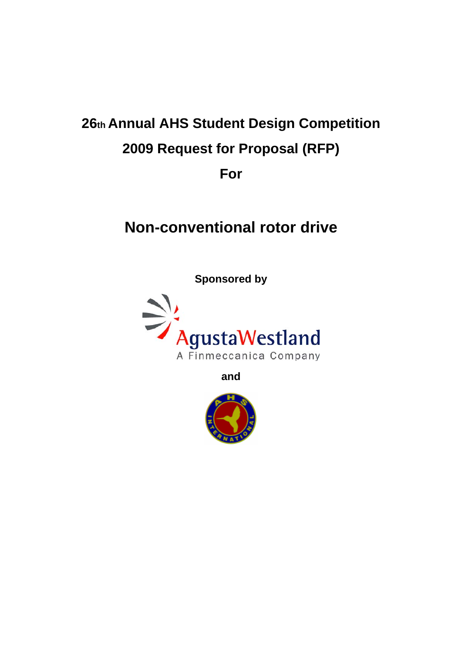# **26th Annual AHS Student Design Competition 2009 Request for Proposal (RFP) For**

# **Non-conventional rotor drive**

**Sponsored by** 



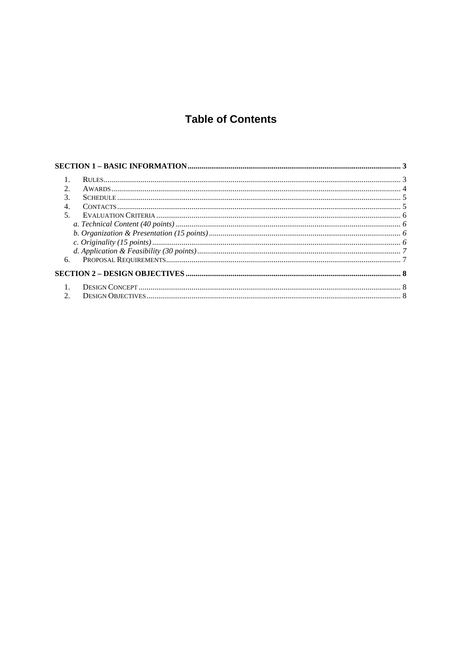# **Table of Contents**

| $\mathfrak{D}$           |  |
|--------------------------|--|
| 3.                       |  |
| $\overline{4}$           |  |
| $\overline{\mathcal{L}}$ |  |
|                          |  |
|                          |  |
|                          |  |
|                          |  |
| 6.                       |  |
|                          |  |
|                          |  |
| $\mathfrak{D}$           |  |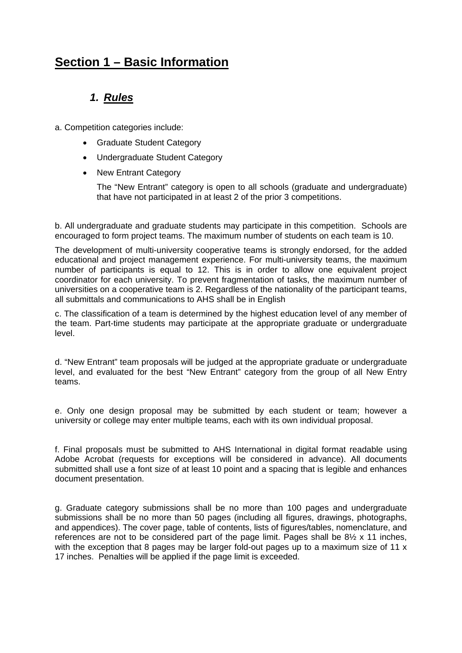# **Section 1 – Basic Information**

### *1. Rules*

a. Competition categories include:

- Graduate Student Category
- Undergraduate Student Category
- New Entrant Category

The "New Entrant" category is open to all schools (graduate and undergraduate) that have not participated in at least 2 of the prior 3 competitions.

b. All undergraduate and graduate students may participate in this competition. Schools are encouraged to form project teams. The maximum number of students on each team is 10.

The development of multi-university cooperative teams is strongly endorsed, for the added educational and project management experience. For multi-university teams, the maximum number of participants is equal to 12. This is in order to allow one equivalent project coordinator for each university. To prevent fragmentation of tasks, the maximum number of universities on a cooperative team is 2. Regardless of the nationality of the participant teams, all submittals and communications to AHS shall be in English

c. The classification of a team is determined by the highest education level of any member of the team. Part-time students may participate at the appropriate graduate or undergraduate level.

d. "New Entrant" team proposals will be judged at the appropriate graduate or undergraduate level, and evaluated for the best "New Entrant" category from the group of all New Entry teams.

e. Only one design proposal may be submitted by each student or team; however a university or college may enter multiple teams, each with its own individual proposal.

f. Final proposals must be submitted to AHS International in digital format readable using Adobe Acrobat (requests for exceptions will be considered in advance). All documents submitted shall use a font size of at least 10 point and a spacing that is legible and enhances document presentation.

g. Graduate category submissions shall be no more than 100 pages and undergraduate submissions shall be no more than 50 pages (including all figures, drawings, photographs, and appendices). The cover page, table of contents, lists of figures/tables, nomenclature, and references are not to be considered part of the page limit. Pages shall be 8½ x 11 inches, with the exception that 8 pages may be larger fold-out pages up to a maximum size of 11 x 17 inches. Penalties will be applied if the page limit is exceeded.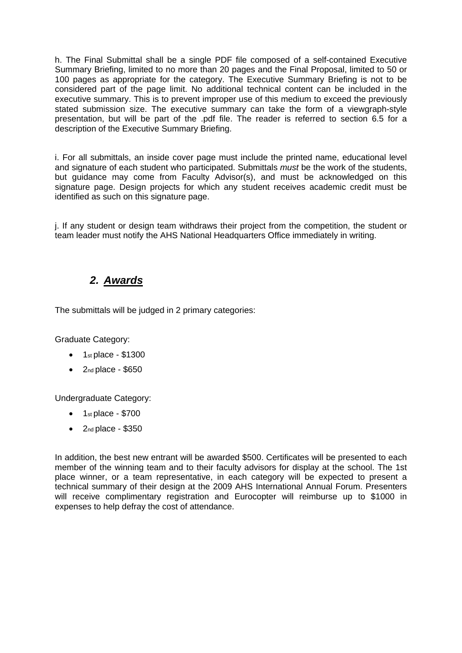h. The Final Submittal shall be a single PDF file composed of a self-contained Executive Summary Briefing, limited to no more than 20 pages and the Final Proposal, limited to 50 or 100 pages as appropriate for the category. The Executive Summary Briefing is not to be considered part of the page limit. No additional technical content can be included in the executive summary. This is to prevent improper use of this medium to exceed the previously stated submission size. The executive summary can take the form of a viewgraph-style presentation, but will be part of the .pdf file. The reader is referred to section 6.5 for a description of the Executive Summary Briefing.

i. For all submittals, an inside cover page must include the printed name, educational level and signature of each student who participated. Submittals *must* be the work of the students, but guidance may come from Faculty Advisor(s), and must be acknowledged on this signature page. Design projects for which any student receives academic credit must be identified as such on this signature page.

j. If any student or design team withdraws their project from the competition, the student or team leader must notify the AHS National Headquarters Office immediately in writing.

### *2. Awards*

The submittals will be judged in 2 primary categories:

Graduate Category:

- $\bullet$  1st place \$1300
- $2<sub>nd</sub>$  place \$650

Undergraduate Category:

- $\bullet$  1st place \$700
- $\bullet$  2nd place \$350

In addition, the best new entrant will be awarded \$500. Certificates will be presented to each member of the winning team and to their faculty advisors for display at the school. The 1st place winner, or a team representative, in each category will be expected to present a technical summary of their design at the 2009 AHS International Annual Forum. Presenters will receive complimentary registration and Eurocopter will reimburse up to \$1000 in expenses to help defray the cost of attendance.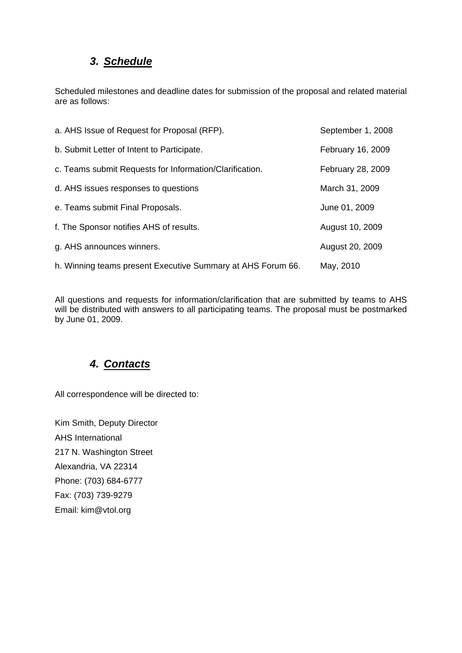# *3. Schedule*

Scheduled milestones and deadline dates for submission of the proposal and related material are as follows:

| a. AHS Issue of Request for Proposal (RFP).                 | September 1, 2008 |
|-------------------------------------------------------------|-------------------|
| b. Submit Letter of Intent to Participate.                  | February 16, 2009 |
| c. Teams submit Requests for Information/Clarification.     | February 28, 2009 |
| d. AHS issues responses to questions                        | March 31, 2009    |
| e. Teams submit Final Proposals.                            | June 01, 2009     |
| f. The Sponsor notifies AHS of results.                     | August 10, 2009   |
| g. AHS announces winners.                                   | August 20, 2009   |
| h. Winning teams present Executive Summary at AHS Forum 66. | May, 2010         |

All questions and requests for information/clarification that are submitted by teams to AHS will be distributed with answers to all participating teams. The proposal must be postmarked by June 01, 2009.

# *4. Contacts*

All correspondence will be directed to:

Kim Smith, Deputy Director AHS International 217 N. Washington Street Alexandria, VA 22314 Phone: (703) 684-6777 Fax: (703) 739-9279 Email: kim@vtol.org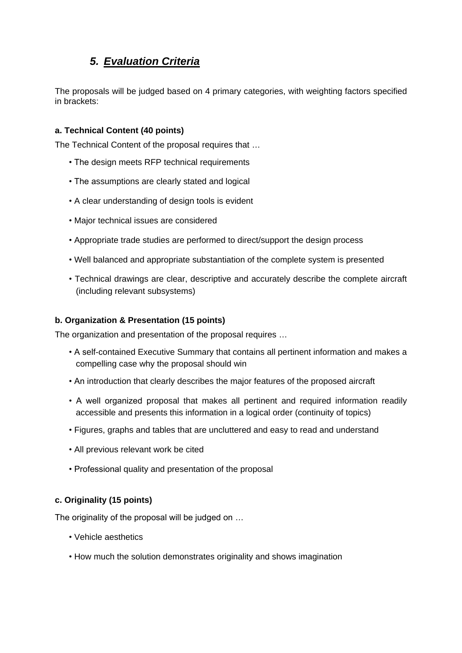# *5. Evaluation Criteria*

The proposals will be judged based on 4 primary categories, with weighting factors specified in brackets:

#### **a. Technical Content (40 points)**

The Technical Content of the proposal requires that …

- The design meets RFP technical requirements
- The assumptions are clearly stated and logical
- A clear understanding of design tools is evident
- Major technical issues are considered
- Appropriate trade studies are performed to direct/support the design process
- Well balanced and appropriate substantiation of the complete system is presented
- Technical drawings are clear, descriptive and accurately describe the complete aircraft (including relevant subsystems)

#### **b. Organization & Presentation (15 points)**

The organization and presentation of the proposal requires …

- A self-contained Executive Summary that contains all pertinent information and makes a compelling case why the proposal should win
- An introduction that clearly describes the major features of the proposed aircraft
- A well organized proposal that makes all pertinent and required information readily accessible and presents this information in a logical order (continuity of topics)
- Figures, graphs and tables that are uncluttered and easy to read and understand
- All previous relevant work be cited
- Professional quality and presentation of the proposal

#### **c. Originality (15 points)**

The originality of the proposal will be judged on …

- Vehicle aesthetics
- How much the solution demonstrates originality and shows imagination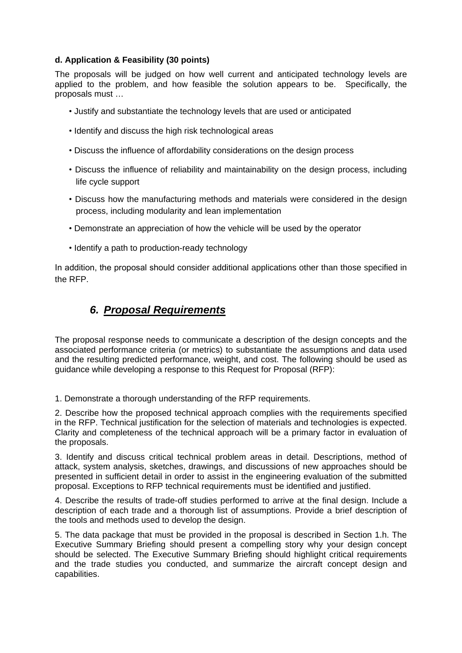#### **d. Application & Feasibility (30 points)**

The proposals will be judged on how well current and anticipated technology levels are applied to the problem, and how feasible the solution appears to be. Specifically, the proposals must …

- Justify and substantiate the technology levels that are used or anticipated
- Identify and discuss the high risk technological areas
- Discuss the influence of affordability considerations on the design process
- Discuss the influence of reliability and maintainability on the design process, including life cycle support
- Discuss how the manufacturing methods and materials were considered in the design process, including modularity and lean implementation
- Demonstrate an appreciation of how the vehicle will be used by the operator
- Identify a path to production-ready technology

In addition, the proposal should consider additional applications other than those specified in the RFP.

### *6. Proposal Requirements*

The proposal response needs to communicate a description of the design concepts and the associated performance criteria (or metrics) to substantiate the assumptions and data used and the resulting predicted performance, weight, and cost. The following should be used as guidance while developing a response to this Request for Proposal (RFP):

1. Demonstrate a thorough understanding of the RFP requirements.

2. Describe how the proposed technical approach complies with the requirements specified in the RFP. Technical justification for the selection of materials and technologies is expected. Clarity and completeness of the technical approach will be a primary factor in evaluation of the proposals.

3. Identify and discuss critical technical problem areas in detail. Descriptions, method of attack, system analysis, sketches, drawings, and discussions of new approaches should be presented in sufficient detail in order to assist in the engineering evaluation of the submitted proposal. Exceptions to RFP technical requirements must be identified and justified.

4. Describe the results of trade-off studies performed to arrive at the final design. Include a description of each trade and a thorough list of assumptions. Provide a brief description of the tools and methods used to develop the design.

5. The data package that must be provided in the proposal is described in Section 1.h. The Executive Summary Briefing should present a compelling story why your design concept should be selected. The Executive Summary Briefing should highlight critical requirements and the trade studies you conducted, and summarize the aircraft concept design and capabilities.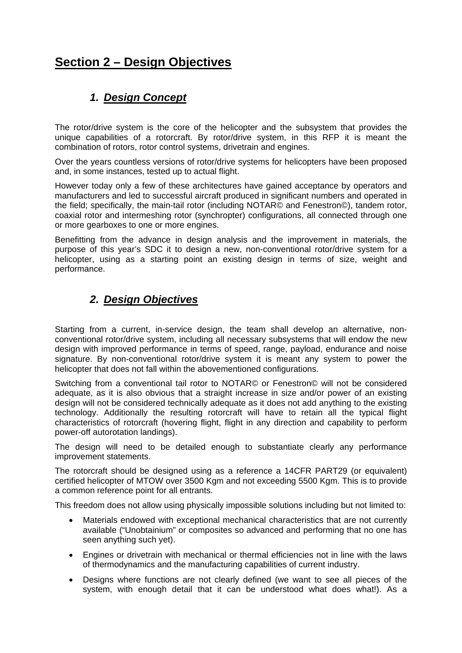# **Section 2 – Design Objectives**

# *1. Design Concept*

The rotor/drive system is the core of the helicopter and the subsystem that provides the unique capabilities of a rotorcraft. By rotor/drive system, in this RFP it is meant the combination of rotors, rotor control systems, drivetrain and engines.

Over the years countless versions of rotor/drive systems for helicopters have been proposed and, in some instances, tested up to actual flight.

However today only a few of these architectures have gained acceptance by operators and manufacturers and led to successful aircraft produced in significant numbers and operated in the field; specifically, the main-tail rotor (including NOTAR© and Fenestron©), tandem rotor, coaxial rotor and intermeshing rotor (synchropter) configurations, all connected through one or more gearboxes to one or more engines.

Benefitting from the advance in design analysis and the improvement in materials, the purpose of this year's SDC it to design a new, non-conventional rotor/drive system for a helicopter, using as a starting point an existing design in terms of size, weight and performance.

## *2. Design Objectives*

Starting from a current, in-service design, the team shall develop an alternative, nonconventional rotor/drive system, including all necessary subsystems that will endow the new design with improved performance in terms of speed, range, payload, endurance and noise signature. By non-conventional rotor/drive system it is meant any system to power the helicopter that does not fall within the abovementioned configurations.

Switching from a conventional tail rotor to NOTAR© or Fenestron© will not be considered adequate, as it is also obvious that a straight increase in size and/or power of an existing design will not be considered technically adequate as it does not add anything to the existing technology. Additionally the resulting rotorcraft will have to retain all the typical flight characteristics of rotorcraft (hovering flight, flight in any direction and capability to perform power-off autorotation landings).

The design will need to be detailed enough to substantiate clearly any performance improvement statements.

The rotorcraft should be designed using as a reference a 14CFR PART29 (or equivalent) certified helicopter of MTOW over 3500 Kgm and not exceeding 5500 Kgm. This is to provide a common reference point for all entrants.

This freedom does not allow using physically impossible solutions including but not limited to:

- Materials endowed with exceptional mechanical characteristics that are not currently available ("Unobtainium" or composites so advanced and performing that no one has seen anything such yet).
- Engines or drivetrain with mechanical or thermal efficiencies not in line with the laws of thermodynamics and the manufacturing capabilities of current industry.
- Designs where functions are not clearly defined (we want to see all pieces of the system, with enough detail that it can be understood what does what!). As a